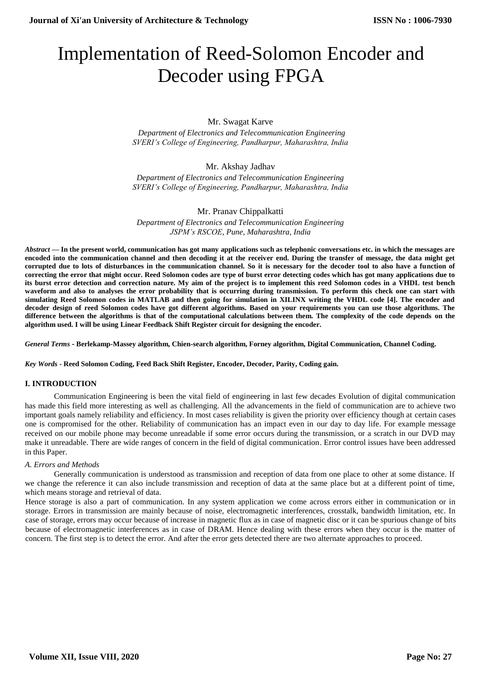# Implementation of Reed-Solomon Encoder and Decoder using FPGA

Mr. Swagat Karve

 *Department of Electronics and Telecommunication Engineering SVERI's College of Engineering, Pandharpur, Maharashtra, India*

## Mr. Akshay Jadhav

*Department of Electronics and Telecommunication Engineering SVERI's College of Engineering, Pandharpur, Maharashtra, India*

## Mr. Pranav Chippalkatti

*Department of Electronics and Telecommunication Engineering JSPM's RSCOE, Pune, Maharashtra, India*

*Abstract* **— In the present world, communication has got many applications such as telephonic conversations etc. in which the messages are encoded into the communication channel and then decoding it at the receiver end. During the transfer of message, the data might get corrupted due to lots of disturbances in the communication channel. So it is necessary for the decoder tool to also have a function of correcting the error that might occur. Reed Solomon codes are type of burst error detecting codes which has got many applications due to its burst error detection and correction nature. My aim of the project is to implement this reed Solomon codes in a VHDL test bench waveform and also to analyses the error probability that is occurring during transmission. To perform this check one can start with simulating Reed Solomon codes in MATLAB and then going for simulation in XILINX writing the VHDL code [4]. The encoder and decoder design of reed Solomon codes have got different algorithms. Based on your requirements you can use those algorithms. The difference between the algorithms is that of the computational calculations between them. The complexity of the code depends on the algorithm used. I will be using Linear Feedback Shift Register circuit for designing the encoder.**

*General Terms* **- Berlekamp-Massey algorithm, Chien-search algorithm, Forney algorithm, Digital Communication, Channel Coding.**

*Key Words* **- Reed Solomon Coding, Feed Back Shift Register, Encoder, Decoder, Parity, Coding gain.**

## **I. INTRODUCTION**

Communication Engineering is been the vital field of engineering in last few decades Evolution of digital communication has made this field more interesting as well as challenging. All the advancements in the field of communication are to achieve two important goals namely reliability and efficiency. In most cases reliability is given the priority over efficiency though at certain cases one is compromised for the other. Reliability of communication has an impact even in our day to day life. For example message received on our mobile phone may become unreadable if some error occurs during the transmission, or a scratch in our DVD may make it unreadable. There are wide ranges of concern in the field of digital communication. Error control issues have been addressed in this Paper.

## *A. Errors and Methods*

Generally communication is understood as transmission and reception of data from one place to other at some distance. If we change the reference it can also include transmission and reception of data at the same place but at a different point of time, which means storage and retrieval of data.

Hence storage is also a part of communication. In any system application we come across errors either in communication or in storage. Errors in transmission are mainly because of noise, electromagnetic interferences, crosstalk, bandwidth limitation, etc. In case of storage, errors may occur because of increase in magnetic flux as in case of magnetic disc or it can be spurious change of bits because of electromagnetic interferences as in case of DRAM. Hence dealing with these errors when they occur is the matter of concern. The first step is to detect the error. And after the error gets detected there are two alternate approaches to proceed.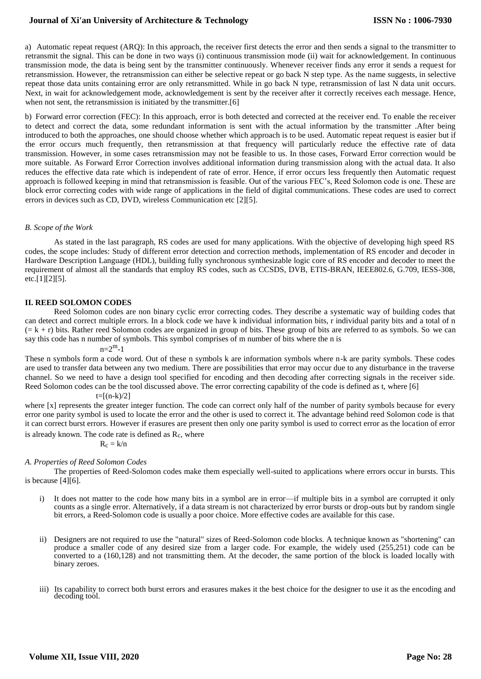## **Journal of Xi'an University of Architecture & Technology**

a) Automatic repeat request (ARQ): In this approach, the receiver first detects the error and then sends a signal to the transmitter to retransmit the signal. This can be done in two ways (i) continuous transmission mode (ii) wait for acknowledgement. In continuous transmission mode, the data is being sent by the transmitter continuously. Whenever receiver finds any error it sends a request for retransmission. However, the retransmission can either be selective repeat or go back N step type. As the name suggests, in selective repeat those data units containing error are only retransmitted. While in go back N type, retransmission of last N data unit occurs. Next, in wait for acknowledgement mode, acknowledgement is sent by the receiver after it correctly receives each message. Hence, when not sent, the retransmission is initiated by the transmitter.[6]

b) Forward error correction (FEC): In this approach, error is both detected and corrected at the receiver end. To enable the receiver to detect and correct the data, some redundant information is sent with the actual information by the transmitter .After being introduced to both the approaches, one should choose whether which approach is to be used. Automatic repeat request is easier but if the error occurs much frequently, then retransmission at that frequency will particularly reduce the effective rate of data transmission. However, in some cases retransmission may not be feasible to us. In those cases, Forward Error correction would be more suitable. As Forward Error Correction involves additional information during transmission along with the actual data. It also reduces the effective data rate which is independent of rate of error. Hence, if error occurs less frequently then Automatic request approach is followed keeping in mind that retransmission is feasible. Out of the various FEC's, Reed Solomon code is one. These are block error correcting codes with wide range of applications in the field of digital communications. These codes are used to correct errors in devices such as CD, DVD, wireless Communication etc [2][5].

### *B. Scope of the Work*

As stated in the last paragraph, RS codes are used for many applications. With the objective of developing high speed RS codes, the scope includes: Study of different error detection and correction methods, implementation of RS encoder and decoder in Hardware Description Language (HDL), building fully synchronous synthesizable logic core of RS encoder and decoder to meet the requirement of almost all the standards that employ RS codes, such as CCSDS, DVB, ETIS-BRAN, IEEE802.6, G.709, IESS-308, etc.[1][2][5].

### **II. REED SOLOMON CODES**

Reed Solomon codes are non binary cyclic error correcting codes. They describe a systematic way of building codes that can detect and correct multiple errors. In a block code we have k individual information bits, r individual parity bits and a total of n  $(= k + r)$  bits. Rather reed Solomon codes are organized in group of bits. These group of bits are referred to as symbols. So we can say this code has n number of symbols. This symbol comprises of m number of bits where the n is

 $n=2^m-1$ 

These n symbols form a code word. Out of these n symbols k are information symbols where n-k are parity symbols. These codes are used to transfer data between any two medium. There are possibilities that error may occur due to any disturbance in the traverse channel. So we need to have a design tool specified for encoding and then decoding after correcting signals in the receiver side. Reed Solomon codes can be the tool discussed above. The error correcting capability of the code is defined as t, where [6]

#### $t=[(n-k)/2]$

where [x] represents the greater integer function. The code can correct only half of the number of parity symbols because for every error one parity symbol is used to locate the error and the other is used to correct it. The advantage behind reed Solomon code is that it can correct burst errors. However if erasures are present then only one parity symbol is used to correct error as the location of error

is already known. The code rate is defined as  $R_c$ , where

$$
R_c = k/n
$$

#### *A. Properties of Reed Solomon Codes*

The properties of Reed-Solomon codes make them especially well-suited to applications where errors occur in bursts. This is because [4][6].

- i) It does not matter to the code how many bits in a symbol are in error—if multiple bits in a symbol are corrupted it only counts as a single error. Alternatively, if a data stream is not characterized by error bursts or drop-outs but by random single bit errors, a Reed-Solomon code is usually a poor choice. More effective codes are available for this case.
- ii) Designers are not required to use the "natural" sizes of Reed-Solomon code blocks. A technique known as "shortening" can produce a smaller code of any desired size from a larger code. For example, the widely used (255,251) code can be converted to a (160,128) and not transmitting them. At the decoder, the same portion of the block is loaded locally with binary zeroes.
- iii) Its capability to correct both burst errors and erasures makes it the best choice for the designer to use it as the encoding and decoding tool.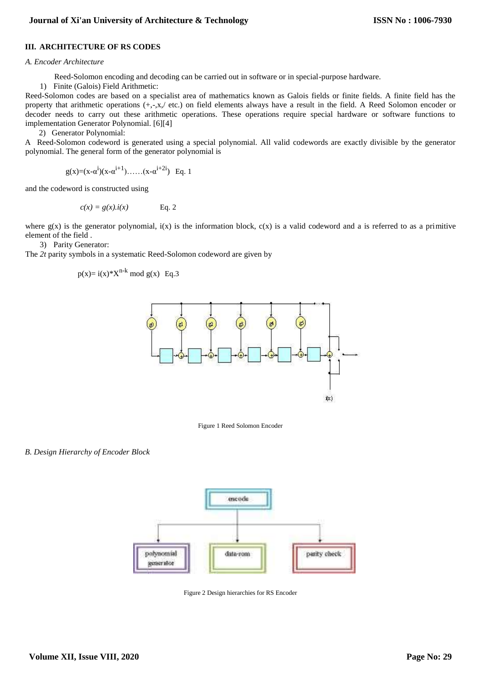## **III. ARCHITECTURE OF RS CODES**

#### *A. Encoder Architecture*

Reed-Solomon encoding and decoding can be carried out in software or in special-purpose hardware.

1) Finite (Galois) Field Arithmetic:

Reed-Solomon codes are based on a specialist area of mathematics known as Galois fields or finite fields. A finite field has the property that arithmetic operations (+,-,x,/ etc.) on field elements always have a result in the field. A Reed Solomon encoder or decoder needs to carry out these arithmetic operations. These operations require special hardware or software functions to implementation Generator Polynomial. [6][4]

2) Generator Polynomial:

A Reed-Solomon codeword is generated using a special polynomial. All valid codewords are exactly divisible by the generator polynomial. The general form of the generator polynomial is

$$
g(x)=(x-\alpha^{i})(x-\alpha^{i+1})\dots \dots (x-\alpha^{i+2i})
$$
 Eq. 1

and the codeword is constructed using

$$
c(x) = g(x).i(x) \qquad \text{Eq. 2}
$$

where  $g(x)$  is the generator polynomial,  $i(x)$  is the information block,  $c(x)$  is a valid codeword and a is referred to as a primitive element of the field .

3) Parity Generator:

The *2t* parity symbols in a systematic Reed-Solomon codeword are given by

$$
p(x) = i(x)*X^{n-k} \mod g(x)
$$
 Eq.3



Figure 1 Reed Solomon Encoder

*B. Design Hierarchy of Encoder Block*



Figure 2 Design hierarchies for RS Encoder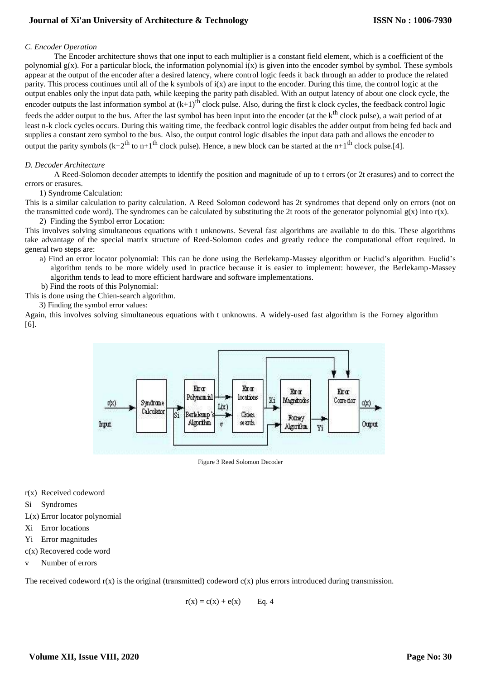# **Journal of Xi'an University of Architecture & Technology**

### *C. Encoder Operation*

The Encoder architecture shows that one input to each multiplier is a constant field element, which is a coefficient of the polynomial  $g(x)$ . For a particular block, the information polynomial  $i(x)$  is given into the encoder symbol by symbol. These symbols appear at the output of the encoder after a desired latency, where control logic feeds it back through an adder to produce the related parity. This process continues until all of the k symbols of  $i(x)$  are input to the encoder. During this time, the control logic at the output enables only the input data path, while keeping the parity path disabled. With an output latency of about one clock cycle, the encoder outputs the last information symbol at  $(k+1)$ <sup>th</sup> clock pulse. Also, during the first k clock cycles, the feedback control logic feeds the adder output to the bus. After the last symbol has been input into the encoder (at the k<sup>th</sup> clock pulse), a wait period of at least n-k clock cycles occurs. During this waiting time, the feedback control logic disables the adder output from being fed back and

supplies a constant zero symbol to the bus. Also, the output control logic disables the input data path and allows the encoder to output the parity symbols  $(k+2<sup>th</sup>$  to n+1<sup>th</sup> clock pulse). Hence, a new block can be started at the n+1<sup>th</sup> clock pulse.[4].

#### *D. Decoder Architecture*

A Reed-Solomon decoder attempts to identify the position and magnitude of up to t errors (or 2t erasures) and to correct the errors or erasures.

1) Syndrome Calculation:

This is a similar calculation to parity calculation. A Reed Solomon codeword has 2t syndromes that depend only on errors (not on the transmitted code word). The syndromes can be calculated by substituting the 2t roots of the generator polynomial  $g(x)$  into  $r(x)$ .

2) Finding the Symbol error Location:

This involves solving simultaneous equations with t unknowns. Several fast algorithms are available to do this. These algorithms take advantage of the special matrix structure of Reed-Solomon codes and greatly reduce the computational effort required. In general two steps are:

- a) Find an error locator polynomial: This can be done using the Berlekamp-Massey algorithm or Euclid's algorithm. Euclid's algorithm tends to be more widely used in practice because it is easier to implement: however, the Berlekamp-Massey algorithm tends to lead to more efficient hardware and software implementations.
- b) Find the roots of this Polynomial: This is done using the Chien-search algorithm.
	- 3) Finding the symbol error values:

Again, this involves solving simultaneous equations with t unknowns. A widely-used fast algorithm is the Forney algorithm [6].



Figure 3 Reed Solomon Decoder

- r(x) Received codeword
- Si Syndromes
- L(x) Error locator polynomial
- Xi Error locations
- Yi Error magnitudes
- c(x) Recovered code word
- v Number of errors

The received codeword  $r(x)$  is the original (transmitted) codeword  $c(x)$  plus errors introduced during transmission.

 $r(x) = c(x) + e(x)$  Eq. 4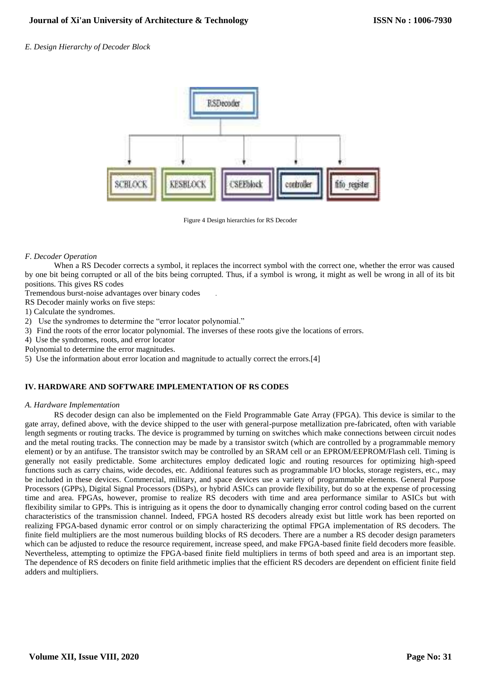## *E. Design Hierarchy of Decoder Block*



Figure 4 Design hierarchies for RS Decoder

## *F. Decoder Operation*

When a RS Decoder corrects a symbol, it replaces the incorrect symbol with the correct one, whether the error was caused by one bit being corrupted or all of the bits being corrupted. Thus, if a symbol is wrong, it might as well be wrong in all of its bit positions. This gives RS codes

Tremendous burst-noise advantages over binary codes .

RS Decoder mainly works on five steps:

1) Calculate the syndromes.

- 2) Use the syndromes to determine the "error locator polynomial."
- 3) Find the roots of the error locator polynomial. The inverses of these roots give the locations of errors.
- 4) Use the syndromes, roots, and error locator
- Polynomial to determine the error magnitudes.
- 5) Use the information about error location and magnitude to actually correct the errors.[4]

## **IV. HARDWARE AND SOFTWARE IMPLEMENTATION OF RS CODES**

#### *A. Hardware Implementation*

RS decoder design can also be implemented on the Field Programmable Gate Array (FPGA). This device is similar to the gate array, defined above, with the device shipped to the user with general-purpose metallization pre-fabricated, often with variable length segments or routing tracks. The device is programmed by turning on switches which make connections between circuit nodes and the metal routing tracks. The connection may be made by a transistor switch (which are controlled by a programmable memory element) or by an antifuse. The transistor switch may be controlled by an SRAM cell or an EPROM/EEPROM/Flash cell. Timing is generally not easily predictable. Some architectures employ dedicated logic and routing resources for optimizing high-speed functions such as carry chains, wide decodes, etc. Additional features such as programmable I/O blocks, storage registers, etc., may be included in these devices. Commercial, military, and space devices use a variety of programmable elements. General Purpose Processors (GPPs), Digital Signal Processors (DSPs), or hybrid ASICs can provide flexibility, but do so at the expense of processing time and area. FPGAs, however, promise to realize RS decoders with time and area performance similar to ASICs but with flexibility similar to GPPs. This is intriguing as it opens the door to dynamically changing error control coding based on the current characteristics of the transmission channel. Indeed, FPGA hosted RS decoders already exist but little work has been reported on realizing FPGA-based dynamic error control or on simply characterizing the optimal FPGA implementation of RS decoders. The finite field multipliers are the most numerous building blocks of RS decoders. There are a number a RS decoder design parameters which can be adjusted to reduce the resource requirement, increase speed, and make FPGA-based finite field decoders more feasible. Nevertheless, attempting to optimize the FPGA-based finite field multipliers in terms of both speed and area is an important step. The dependence of RS decoders on finite field arithmetic implies that the efficient RS decoders are dependent on efficient finite field adders and multipliers.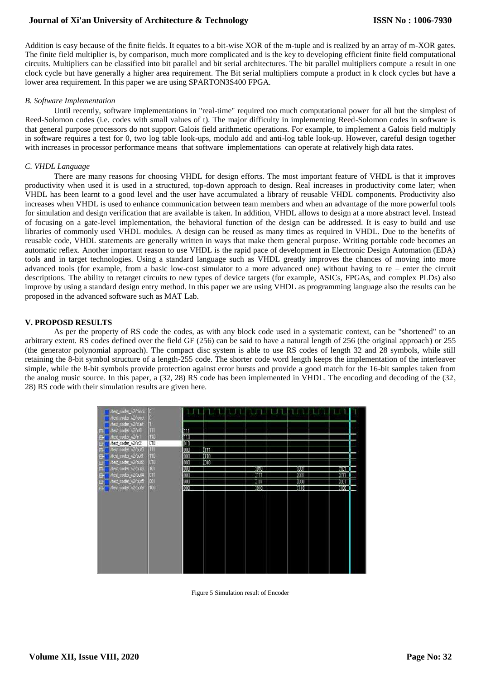## **Journal of Xi'an University of Architecture & Technology**

Addition is easy because of the finite fields. It equates to a bit-wise XOR of the m-tuple and is realized by an array of m-XOR gates. The finite field multiplier is, by comparison, much more complicated and is the key to developing efficient finite field computational circuits. Multipliers can be classified into bit parallel and bit serial architectures. The bit parallel multipliers compute a result in one clock cycle but have generally a higher area requirement. The Bit serial multipliers compute a product in k clock cycles but have a lower area requirement. In this paper we are using SPARTON3S400 FPGA.

### *B. Software Implementation*

Until recently, software implementations in "real-time" required too much computational power for all but the simplest of Reed-Solomon codes (i.e. codes with small values of t). The major difficulty in implementing Reed-Solomon codes in software is that general purpose processors do not support Galois field arithmetic operations. For example, to implement a Galois field multiply in software requires a test for 0, two log table look-ups, modulo add and anti-log table look-up. However, careful design together with increases in processor performance means that software implementations can operate at relatively high data rates.

### *C. VHDL Language*

There are many reasons for choosing VHDL for design efforts. The most important feature of VHDL is that it improves productivity when used it is used in a structured, top-down approach to design. Real increases in productivity come later; when VHDL has been learnt to a good level and the user have accumulated a library of reusable VHDL components. Productivity also increases when VHDL is used to enhance communication between team members and when an advantage of the more powerful tools for simulation and design verification that are available is taken. In addition, VHDL allows to design at a more abstract level. Instead of focusing on a gate-level implementation, the behavioral function of the design can be addressed. It is easy to build and use libraries of commonly used VHDL modules. A design can be reused as many times as required in VHDL. Due to the benefits of reusable code, VHDL statements are generally written in ways that make them general purpose. Writing portable code becomes an automatic reflex. Another important reason to use VHDL is the rapid pace of development in Electronic Design Automation (EDA) tools and in target technologies. Using a standard language such as VHDL greatly improves the chances of moving into more advanced tools (for example, from a basic low-cost simulator to a more advanced one) without having to re – enter the circuit descriptions. The ability to retarget circuits to new types of device targets (for example, ASICs, FPGAs, and complex PLDs) also improve by using a standard design entry method. In this paper we are using VHDL as programming language also the results can be proposed in the advanced software such as MAT Lab.

## **V. PROPOSD RESULTS**

As per the property of RS code the codes, as with any block code used in a systematic context, can be "shortened" to an arbitrary extent. RS codes defined over the field GF (256) can be said to have a natural length of 256 (the original approach) or 255 (the generator polynomial approach). The compact disc system is able to use RS codes of length 32 and 28 symbols, while still retaining the 8-bit symbol structure of a length-255 code. The shorter code word length keeps the implementation of the interleaver simple, while the 8-bit symbols provide protection against error bursts and provide a good match for the 16-bit samples taken from the analog music source. In this paper, a (32, 28) RS code has been implemented in VHDL. The encoding and decoding of the (32, 28) RS code with their simulation results are given here.



Figure 5 Simulation result of Encoder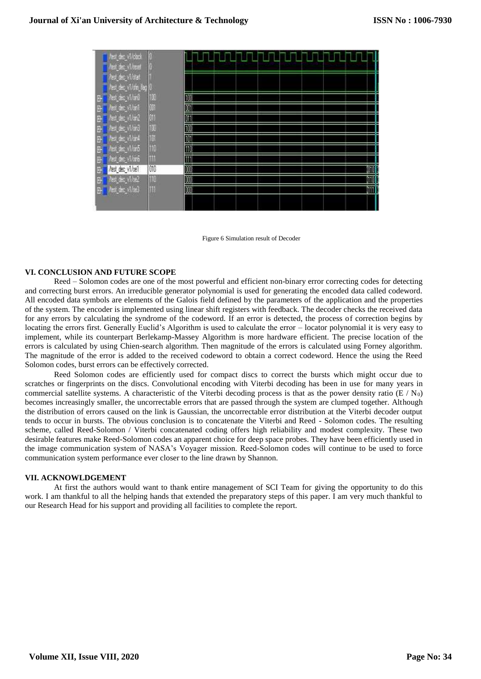

Figure 6 Simulation result of Decoder

#### **VI. CONCLUSION AND FUTURE SCOPE**

Reed – Solomon codes are one of the most powerful and efficient non-binary error correcting codes for detecting and correcting burst errors. An irreducible generator polynomial is used for generating the encoded data called codeword. All encoded data symbols are elements of the Galois field defined by the parameters of the application and the properties of the system. The encoder is implemented using linear shift registers with feedback. The decoder checks the received data for any errors by calculating the syndrome of the codeword. If an error is detected, the process of correction begins by locating the errors first. Generally Euclid's Algorithm is used to calculate the error – locator polynomial it is very easy to implement, while its counterpart Berlekamp-Massey Algorithm is more hardware efficient. The precise location of the errors is calculated by using Chien-search algorithm. Then magnitude of the errors is calculated using Forney algorithm. The magnitude of the error is added to the received codeword to obtain a correct codeword. Hence the using the Reed Solomon codes, burst errors can be effectively corrected.

Reed Solomon codes are efficiently used for compact discs to correct the bursts which might occur due to scratches or fingerprints on the discs. Convolutional encoding with Viterbi decoding has been in use for many years in commercial satellite systems. A characteristic of the Viterbi decoding process is that as the power density ratio ( $E / N_0$ ) becomes increasingly smaller, the uncorrectable errors that are passed through the system are clumped together. Although the distribution of errors caused on the link is Gaussian, the uncorrectable error distribution at the Viterbi decoder output tends to occur in bursts. The obvious conclusion is to concatenate the Viterbi and Reed - Solomon codes. The resulting scheme, called Reed-Solomon / Viterbi concatenated coding offers high reliability and modest complexity. These two desirable features make Reed-Solomon codes an apparent choice for deep space probes. They have been efficiently used in the image communication system of NASA's Voyager mission. Reed-Solomon codes will continue to be used to force communication system performance ever closer to the line drawn by Shannon.

#### **VII. ACKNOWLDGEMENT**

At first the authors would want to thank entire management of SCI Team for giving the opportunity to do this work. I am thankful to all the helping hands that extended the preparatory steps of this paper. I am very much thankful to our Research Head for his support and providing all facilities to complete the report.